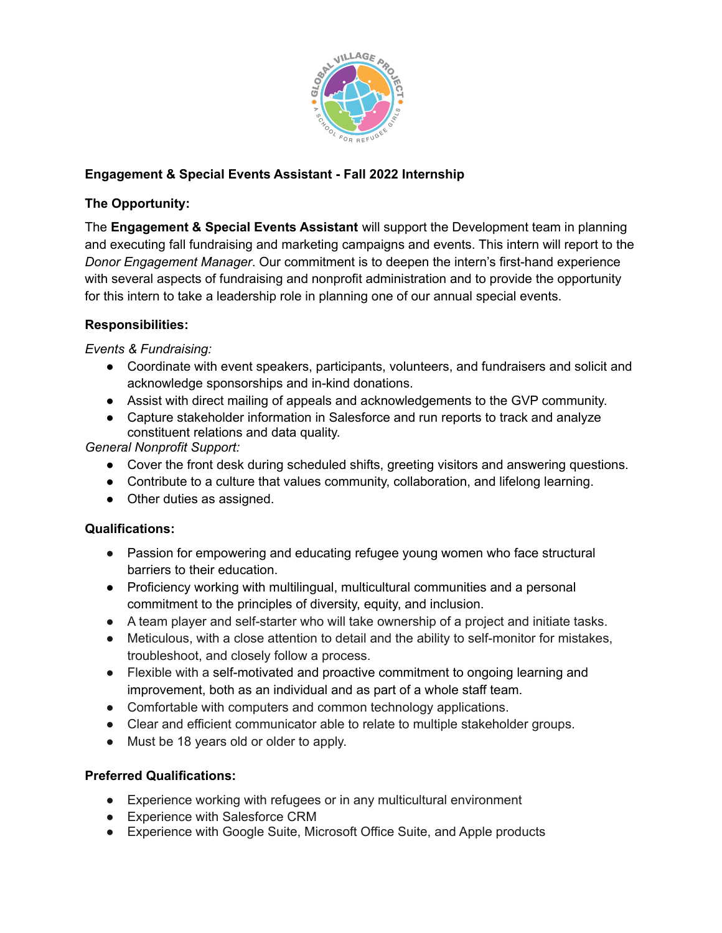

## **Engagement & Special Events Assistant - Fall 2022 Internship**

#### **The Opportunity:**

The **Engagement & Special Events Assistant** will support the Development team in planning and executing fall fundraising and marketing campaigns and events. This intern will report to the *Donor Engagement Manager*. Our commitment is to deepen the intern's first-hand experience with several aspects of fundraising and nonprofit administration and to provide the opportunity for this intern to take a leadership role in planning one of our annual special events.

### **Responsibilities:**

*Events & Fundraising:*

- Coordinate with event speakers, participants, volunteers, and fundraisers and solicit and acknowledge sponsorships and in-kind donations.
- Assist with direct mailing of appeals and acknowledgements to the GVP community.
- Capture stakeholder information in Salesforce and run reports to track and analyze constituent relations and data quality.

*General Nonprofit Support:*

- Cover the front desk during scheduled shifts, greeting visitors and answering questions.
- Contribute to a culture that values community, collaboration, and lifelong learning.
- Other duties as assigned.

#### **Qualifications:**

- Passion for empowering and educating refugee young women who face structural barriers to their education.
- Proficiency working with multilingual, multicultural communities and a personal commitment to the principles of diversity, equity, and inclusion.
- A team player and self-starter who will take ownership of a project and initiate tasks.
- Meticulous, with a close attention to detail and the ability to self-monitor for mistakes, troubleshoot, and closely follow a process.
- Flexible with a self-motivated and proactive commitment to ongoing learning and improvement, both as an individual and as part of a whole staff team.
- Comfortable with computers and common technology applications.
- Clear and efficient communicator able to relate to multiple stakeholder groups.
- Must be 18 years old or older to apply.

#### **Preferred Qualifications:**

- Experience working with refugees or in any multicultural environment
- Experience with Salesforce CRM
- Experience with Google Suite, Microsoft Office Suite, and Apple products